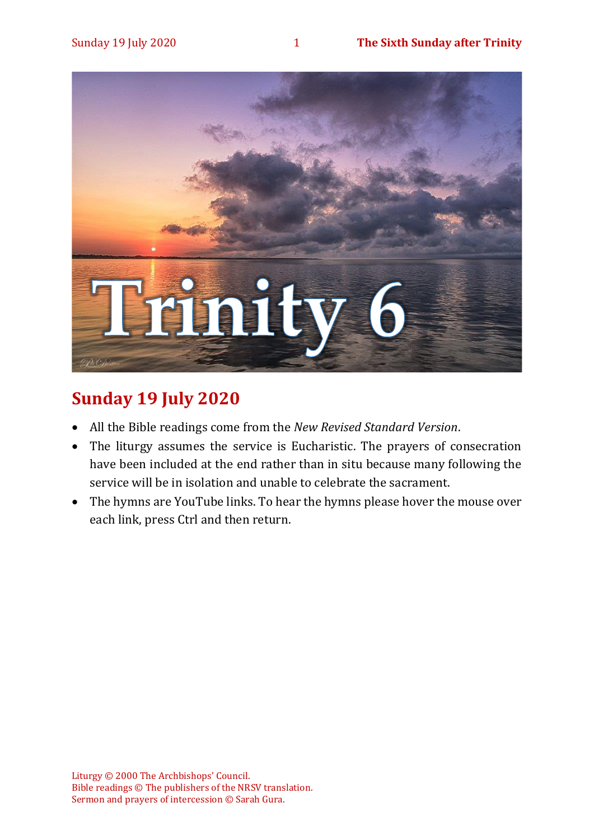

# **Sunday 19 July 2020**

- All the Bible readings come from the *New Revised Standard Version*.
- The liturgy assumes the service is Eucharistic. The prayers of consecration have been included at the end rather than in situ because many following the service will be in isolation and unable to celebrate the sacrament.
- The hymns are YouTube links. To hear the hymns please hover the mouse over each link, press Ctrl and then return.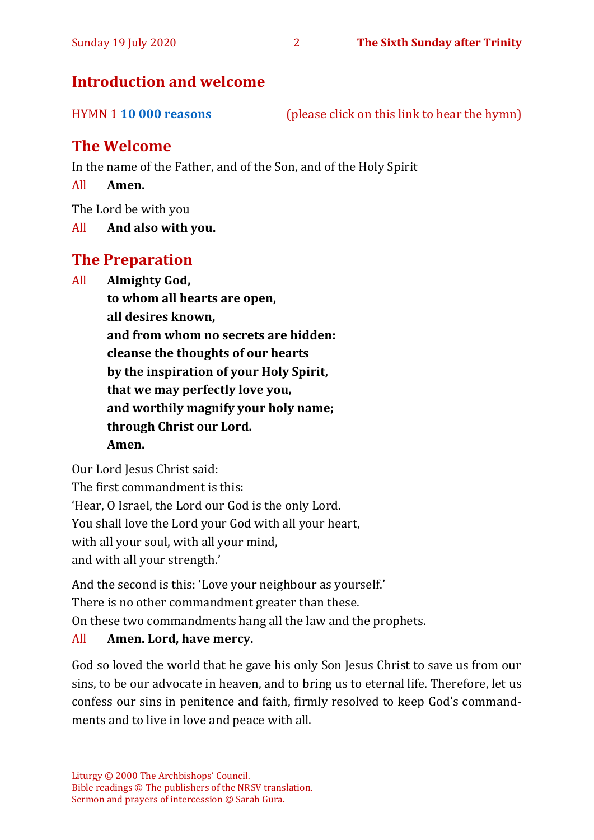#### Sunday 19 July 2020 2 **The Sixth Sunday after Trinity**

### **Introduction and welcome**

HYMN 1 **[10 000 reasons](https://www.youtube.com/watch?v=DXDGE_lRI0E)** (please click on this link to hear the hymn)

## **The Welcome**

In the name of the Father, and of the Son, and of the Holy Spirit

All **Amen.**

The Lord be with you

All **And also with you.**

## **The Preparation**

All **Almighty God,**

**to whom all hearts are open, all desires known, and from whom no secrets are hidden: cleanse the thoughts of our hearts by the inspiration of your Holy Spirit, that we may perfectly love you, and worthily magnify your holy name; through Christ our Lord. Amen.**

Our Lord Jesus Christ said:

The first commandment is this: 'Hear, O Israel, the Lord our God is the only Lord. You shall love the Lord your God with all your heart, with all your soul, with all your mind, and with all your strength.'

And the second is this: 'Love your neighbour as yourself.'

There is no other commandment greater than these.

On these two commandments hang all the law and the prophets.

#### All **Amen. Lord, have mercy.**

God so loved the world that he gave his only Son Jesus Christ to save us from our sins, to be our advocate in heaven, and to bring us to eternal life. Therefore, let us confess our sins in penitence and faith, firmly resolved to keep God's commandments and to live in love and peace with all.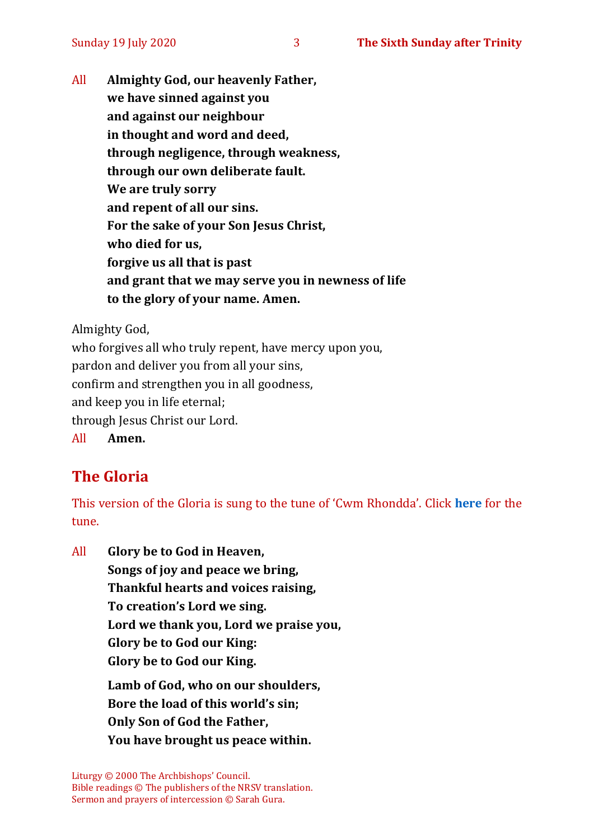All **Almighty God, our heavenly Father, we have sinned against you and against our neighbour in thought and word and deed, through negligence, through weakness, through our own deliberate fault. We are truly sorry and repent of all our sins. For the sake of your Son Jesus Christ, who died for us, forgive us all that is past and grant that we may serve you in newness of life to the glory of your name. Amen.**

Almighty God,

who forgives all who truly repent, have mercy upon you, pardon and deliver you from all your sins, confirm and strengthen you in all goodness, and keep you in life eternal; through Jesus Christ our Lord. All **Amen.**

# **The Gloria**

This version of the Gloria is sung to the tune of 'Cwm Rhondda'. Click **[here](about:blank)** for the tune.

All **Glory be to God in Heaven, Songs of joy and peace we bring, Thankful hearts and voices raising, To creation's Lord we sing. Lord we thank you, Lord we praise you, Glory be to God our King: Glory be to God our King. Lamb of God, who on our shoulders, Bore the load of this world's sin; Only Son of God the Father, You have brought us peace within.**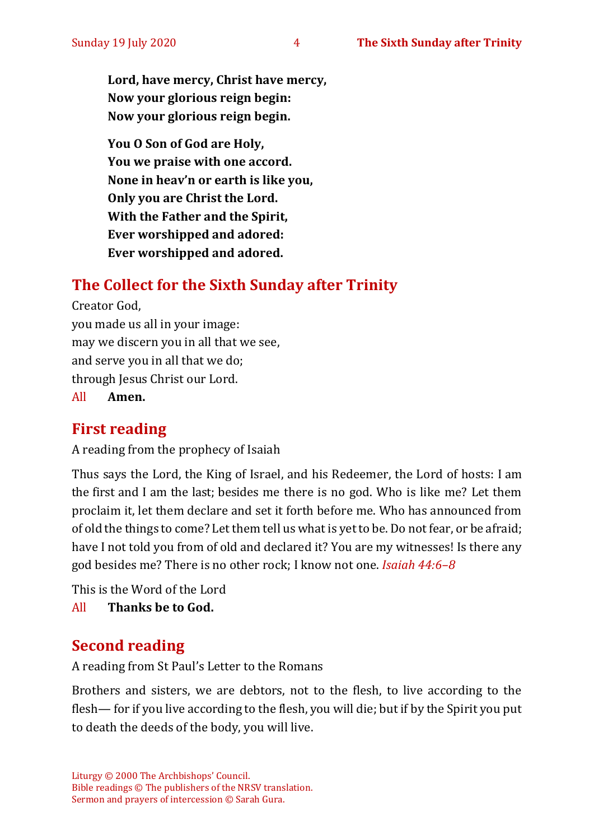**Lord, have mercy, Christ have mercy, Now your glorious reign begin: Now your glorious reign begin.**

**You O Son of God are Holy, You we praise with one accord. None in heav'n or earth is like you, Only you are Christ the Lord. With the Father and the Spirit, Ever worshipped and adored: Ever worshipped and adored.**

# **The Collect for the Sixth Sunday after Trinity**

Creator God, you made us all in your image: may we discern you in all that we see, and serve you in all that we do; through Jesus Christ our Lord.

All **Amen.**

# **First reading**

A reading from the prophecy of Isaiah

Thus says the Lord, the King of Israel, and his Redeemer, the Lord of hosts: I am the first and I am the last; besides me there is no god. Who is like me? Let them proclaim it, let them declare and set it forth before me. Who has announced from of old the things to come? Let them tell us what is yet to be. Do not fear, or be afraid; have I not told you from of old and declared it? You are my witnesses! Is there any god besides me? There is no other rock; I know not one. *Isaiah 44:6–8*

This is the Word of the Lord All **Thanks be to God.**

# **Second reading**

A reading from St Paul's Letter to the Romans

Brothers and sisters, we are debtors, not to the flesh, to live according to the flesh— for if you live according to the flesh, you will die; but if by the Spirit you put to death the deeds of the body, you will live.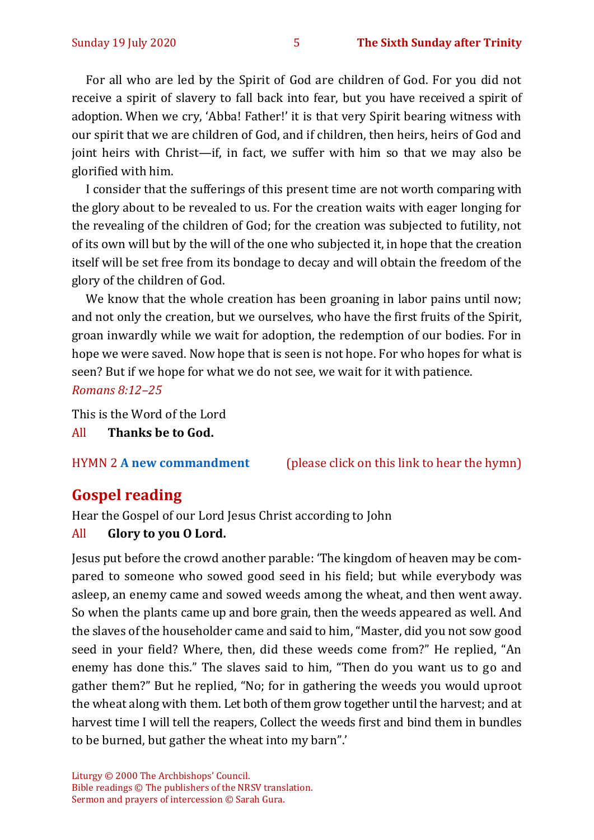For all who are led by the Spirit of God are children of God. For you did not receive a spirit of slavery to fall back into fear, but you have received a spirit of adoption. When we cry, 'Abba! Father!' it is that very Spirit bearing witness with our spirit that we are children of God, and if children, then heirs, heirs of God and joint heirs with Christ—if, in fact, we suffer with him so that we may also be glorified with him.

I consider that the sufferings of this present time are not worth comparing with the glory about to be revealed to us. For the creation waits with eager longing for the revealing of the children of God; for the creation was subjected to futility, not of its own will but by the will of the one who subjected it, in hope that the creation itself will be set free from its bondage to decay and will obtain the freedom of the glory of the children of God.

We know that the whole creation has been groaning in labor pains until now; and not only the creation, but we ourselves, who have the first fruits of the Spirit, groan inwardly while we wait for adoption, the redemption of our bodies. For in hope we were saved. Now hope that is seen is not hope. For who hopes for what is seen? But if we hope for what we do not see, we wait for it with patience. *Romans 8:12–25*

This is the Word of the Lord

All **Thanks be to God.**

HYMN 2 **[A new commandment](https://www.youtube.com/watch?v=_0A5T9sD8Ug)** (please click on this link to hear the hymn)

# **Gospel reading**

Hear the Gospel of our Lord Jesus Christ according to John

#### All **Glory to you O Lord.**

Jesus put before the crowd another parable: 'The kingdom of heaven may be compared to someone who sowed good seed in his field; but while everybody was asleep, an enemy came and sowed weeds among the wheat, and then went away. So when the plants came up and bore grain, then the weeds appeared as well. And the slaves of the householder came and said to him, "Master, did you not sow good seed in your field? Where, then, did these weeds come from?" He replied, "An enemy has done this." The slaves said to him, "Then do you want us to go and gather them?" But he replied, "No; for in gathering the weeds you would uproot the wheat along with them. Let both of them grow together until the harvest; and at harvest time I will tell the reapers, Collect the weeds first and bind them in bundles to be burned, but gather the wheat into my barn".'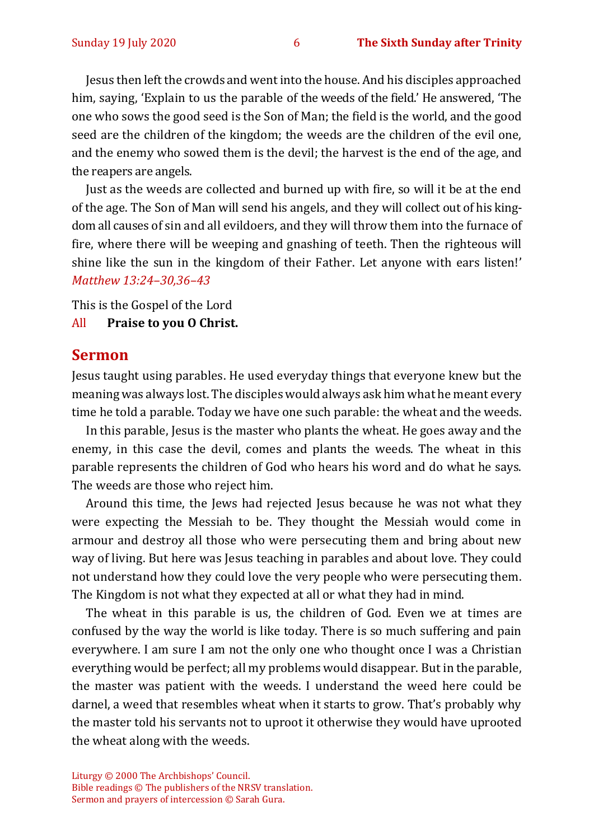Jesus then left the crowds and went into the house. And his disciples approached him, saying, 'Explain to us the parable of the weeds of the field.' He answered, 'The one who sows the good seed is the Son of Man; the field is the world, and the good seed are the children of the kingdom; the weeds are the children of the evil one, and the enemy who sowed them is the devil; the harvest is the end of the age, and the reapers are angels.

Just as the weeds are collected and burned up with fire, so will it be at the end of the age. The Son of Man will send his angels, and they will collect out of his kingdom all causes of sin and all evildoers, and they will throw them into the furnace of fire, where there will be weeping and gnashing of teeth. Then the righteous will shine like the sun in the kingdom of their Father. Let anyone with ears listen!' *Matthew 13:24–30,36–43*

This is the Gospel of the Lord

#### All **Praise to you O Christ.**

#### **Sermon**

Jesus taught using parables. He used everyday things that everyone knew but the meaning was always lost. The disciples would always ask him what he meant every time he told a parable. Today we have one such parable: the wheat and the weeds.

In this parable, Jesus is the master who plants the wheat. He goes away and the enemy, in this case the devil, comes and plants the weeds. The wheat in this parable represents the children of God who hears his word and do what he says. The weeds are those who reject him.

Around this time, the Jews had rejected Jesus because he was not what they were expecting the Messiah to be. They thought the Messiah would come in armour and destroy all those who were persecuting them and bring about new way of living. But here was Jesus teaching in parables and about love. They could not understand how they could love the very people who were persecuting them. The Kingdom is not what they expected at all or what they had in mind.

The wheat in this parable is us, the children of God. Even we at times are confused by the way the world is like today. There is so much suffering and pain everywhere. I am sure I am not the only one who thought once I was a Christian everything would be perfect; all my problems would disappear. But in the parable, the master was patient with the weeds. I understand the weed here could be darnel, a weed that resembles wheat when it starts to grow. That's probably why the master told his servants not to uproot it otherwise they would have uprooted the wheat along with the weeds.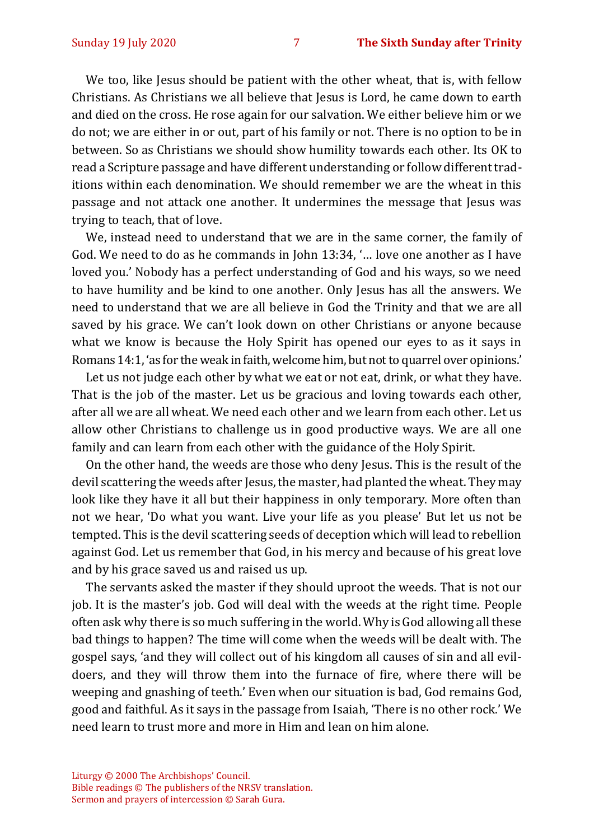We too, like Jesus should be patient with the other wheat, that is, with fellow Christians. As Christians we all believe that Jesus is Lord, he came down to earth and died on the cross. He rose again for our salvation. We either believe him or we do not; we are either in or out, part of his family or not. There is no option to be in between. So as Christians we should show humility towards each other. Its OK to read a Scripture passage and have different understanding or follow different traditions within each denomination. We should remember we are the wheat in this passage and not attack one another. It undermines the message that Jesus was trying to teach, that of love.

We, instead need to understand that we are in the same corner, the family of God. We need to do as he commands in John 13:34, '… love one another as I have loved you.' Nobody has a perfect understanding of God and his ways, so we need to have humility and be kind to one another. Only Jesus has all the answers. We need to understand that we are all believe in God the Trinity and that we are all saved by his grace. We can't look down on other Christians or anyone because what we know is because the Holy Spirit has opened our eyes to as it says in Romans 14:1, 'as for the weak in faith, welcome him, but not to quarrel over opinions.'

Let us not judge each other by what we eat or not eat, drink, or what they have. That is the job of the master. Let us be gracious and loving towards each other, after all we are all wheat. We need each other and we learn from each other. Let us allow other Christians to challenge us in good productive ways. We are all one family and can learn from each other with the guidance of the Holy Spirit.

On the other hand, the weeds are those who deny Jesus. This is the result of the devil scattering the weeds after Jesus, the master, had planted the wheat. They may look like they have it all but their happiness in only temporary. More often than not we hear, 'Do what you want. Live your life as you please' But let us not be tempted. This is the devil scattering seeds of deception which will lead to rebellion against God. Let us remember that God, in his mercy and because of his great love and by his grace saved us and raised us up.

The servants asked the master if they should uproot the weeds. That is not our job. It is the master's job. God will deal with the weeds at the right time. People often ask why there is so much suffering in the world. Why is God allowing all these bad things to happen? The time will come when the weeds will be dealt with. The gospel says, 'and they will collect out of his kingdom all causes of sin and all evildoers, and they will throw them into the furnace of fire, where there will be weeping and gnashing of teeth.' Even when our situation is bad, God remains God, good and faithful. As it says in the passage from Isaiah, 'There is no other rock.' We need learn to trust more and more in Him and lean on him alone.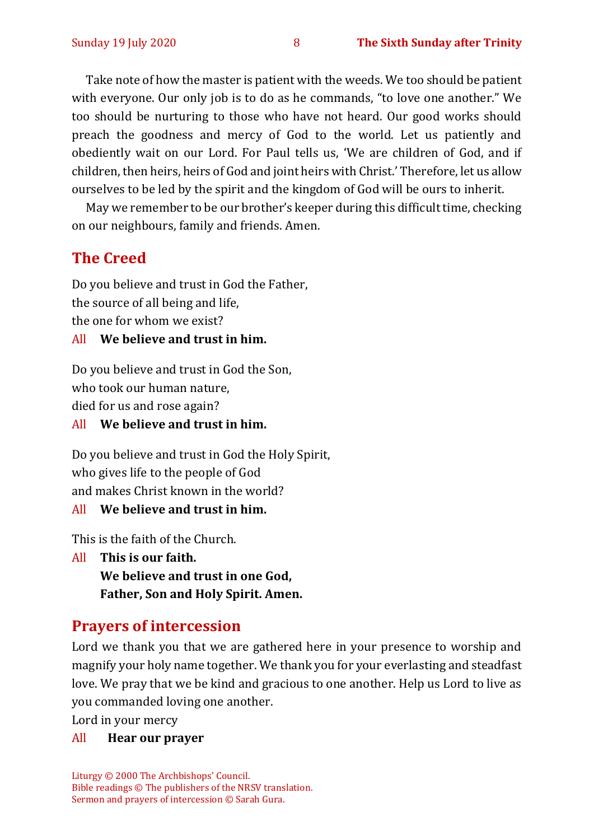Take note of how the master is patient with the weeds. We too should be patient with everyone. Our only job is to do as he commands, "to love one another." We too should be nurturing to those who have not heard. Our good works should preach the goodness and mercy of God to the world. Let us patiently and obediently wait on our Lord. For Paul tells us, 'We are children of God, and if children, then heirs, heirs of God and joint heirs with Christ.' Therefore, let us allow ourselves to be led by the spirit and the kingdom of God will be ours to inherit.

May we remember to be our brother's keeper during this difficult time, checking on our neighbours, family and friends. Amen.

## **The Creed**

Do you believe and trust in God the Father, the source of all being and life, the one for whom we exist?

#### All **We believe and trust in him.**

Do you believe and trust in God the Son, who took our human nature,

died for us and rose again?

All **We believe and trust in him.**

Do you believe and trust in God the Holy Spirit, who gives life to the people of God and makes Christ known in the world?

All **We believe and trust in him.**

This is the faith of the Church.

All **This is our faith. We believe and trust in one God, Father, Son and Holy Spirit. Amen.**

#### **Prayers of intercession**

Lord we thank you that we are gathered here in your presence to worship and magnify your holy name together. We thank you for your everlasting and steadfast love. We pray that we be kind and gracious to one another. Help us Lord to live as you commanded loving one another.

Lord in your mercy

#### All **Hear our prayer**

Liturgy © 2000 The Archbishops' Council. Bible readings © The publishers of the NRSV translation. Sermon and prayers of intercession © Sarah Gura.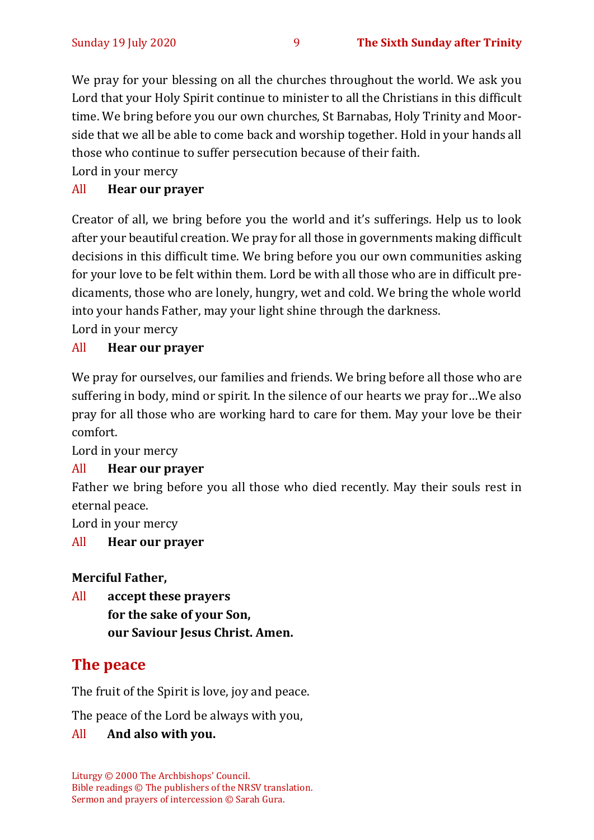We pray for your blessing on all the churches throughout the world. We ask you Lord that your Holy Spirit continue to minister to all the Christians in this difficult time. We bring before you our own churches, St Barnabas, Holy Trinity and Moorside that we all be able to come back and worship together. Hold in your hands all those who continue to suffer persecution because of their faith.

Lord in your mercy

#### All **Hear our prayer**

Creator of all, we bring before you the world and it's sufferings. Help us to look after your beautiful creation. We pray for all those in governments making difficult decisions in this difficult time. We bring before you our own communities asking for your love to be felt within them. Lord be with all those who are in difficult predicaments, those who are lonely, hungry, wet and cold. We bring the whole world into your hands Father, may your light shine through the darkness.

Lord in your mercy

#### All **Hear our prayer**

We pray for ourselves, our families and friends. We bring before all those who are suffering in body, mind or spirit. In the silence of our hearts we pray for…We also pray for all those who are working hard to care for them. May your love be their comfort.

Lord in your mercy

#### All **Hear our prayer**

Father we bring before you all those who died recently. May their souls rest in eternal peace.

Lord in your mercy

#### All **Hear our prayer**

#### **Merciful Father,**

All **accept these prayers for the sake of your Son, our Saviour Jesus Christ. Amen.**

# **The peace**

The fruit of the Spirit is love, joy and peace.

The peace of the Lord be always with you,

#### All **And also with you.**

Liturgy © 2000 The Archbishops' Council. Bible readings © The publishers of the NRSV translation. Sermon and prayers of intercession © Sarah Gura.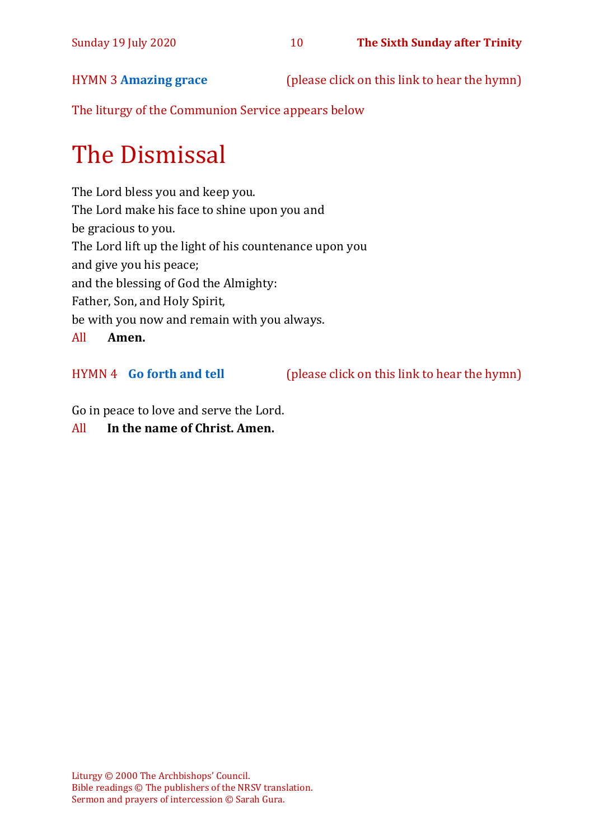HYMN 3 **[Amazing grace](https://www.youtube.com/watch?v=A0gLntLIBYw)** (please click on this link to hear the hymn)

The liturgy of the Communion Service appears below

# The Dismissal

The Lord bless you and keep you. The Lord make his face to shine upon you and be gracious to you. The Lord lift up the light of his countenance upon you and give you his peace; and the blessing of God the Almighty: Father, Son, and Holy Spirit, be with you now and remain with you always. All **Amen.**

HYMN 4 **[Go forth and tell](https://www.youtube.com/watch?v=XNyDd9qtuk0)** (please click on this link to hear the hymn)

Go in peace to love and serve the Lord.

#### All **In the name of Christ. Amen.**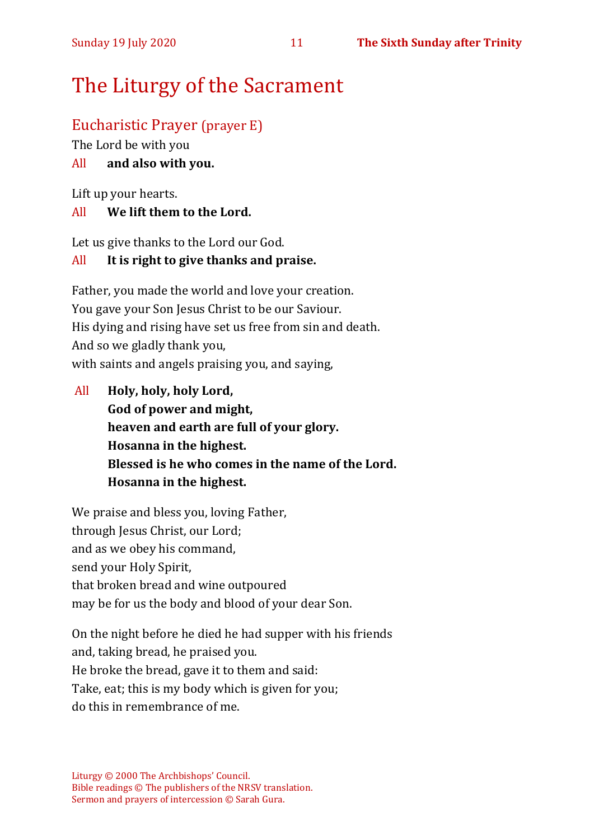# The Liturgy of the Sacrament

# Eucharistic Prayer (prayer E)

The Lord be with you

### All **and also with you.**

Lift up your hearts.

#### All **We lift them to the Lord.**

Let us give thanks to the Lord our God.

#### All **It is right to give thanks and praise.**

Father, you made the world and love your creation. You gave your Son Jesus Christ to be our Saviour. His dying and rising have set us free from sin and death. And so we gladly thank you, with saints and angels praising you, and saying,

All **Holy, holy, holy Lord, God of power and might, heaven and earth are full of your glory. Hosanna in the highest. Blessed is he who comes in the name of the Lord. Hosanna in the highest.**

We praise and bless you, loving Father, through Jesus Christ, our Lord; and as we obey his command, send your Holy Spirit, that broken bread and wine outpoured may be for us the body and blood of your dear Son.

On the night before he died he had supper with his friends and, taking bread, he praised you. He broke the bread, gave it to them and said: Take, eat; this is my body which is given for you; do this in remembrance of me.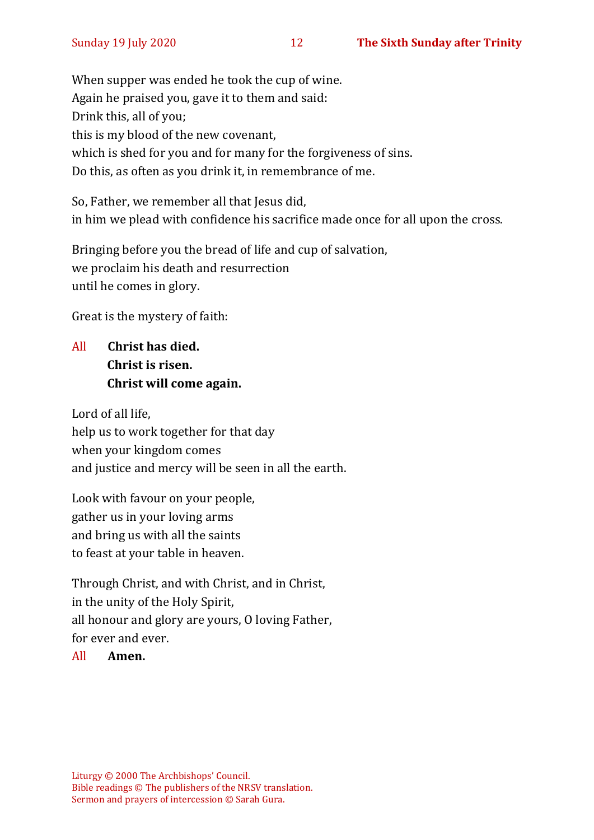When supper was ended he took the cup of wine. Again he praised you, gave it to them and said: Drink this, all of you; this is my blood of the new covenant, which is shed for you and for many for the forgiveness of sins. Do this, as often as you drink it, in remembrance of me.

So, Father, we remember all that Jesus did, in him we plead with confidence his sacrifice made once for all upon the cross.

Bringing before you the bread of life and cup of salvation, we proclaim his death and resurrection until he comes in glory.

Great is the mystery of faith:

All **Christ has died. Christ is risen. Christ will come again.**

Lord of all life, help us to work together for that day when your kingdom comes and justice and mercy will be seen in all the earth.

Look with favour on your people, gather us in your loving arms and bring us with all the saints to feast at your table in heaven.

Through Christ, and with Christ, and in Christ, in the unity of the Holy Spirit, all honour and glory are yours, O loving Father, for ever and ever.

#### All **Amen.**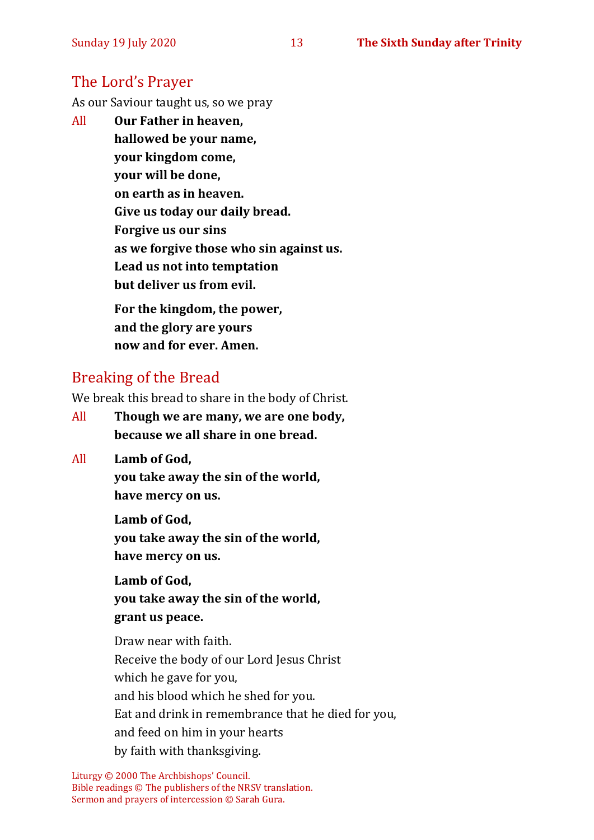## The Lord's Prayer

As our Saviour taught us, so we pray

All **Our Father in heaven, hallowed be your name, your kingdom come, your will be done, on earth as in heaven. Give us today our daily bread. Forgive us our sins as we forgive those who sin against us. Lead us not into temptation but deliver us from evil. For the kingdom, the power,** 

**and the glory are yours now and for ever. Amen.**

## Breaking of the Bread

We break this bread to share in the body of Christ.

- All **Though we are many, we are one body, because we all share in one bread.**
- All **Lamb of God,**

**you take away the sin of the world, have mercy on us.**

**Lamb of God, you take away the sin of the world, have mercy on us.**

**Lamb of God, you take away the sin of the world, grant us peace.**

Draw near with faith. Receive the body of our Lord Jesus Christ which he gave for you, and his blood which he shed for you. Eat and drink in remembrance that he died for you, and feed on him in your hearts by faith with thanksgiving.